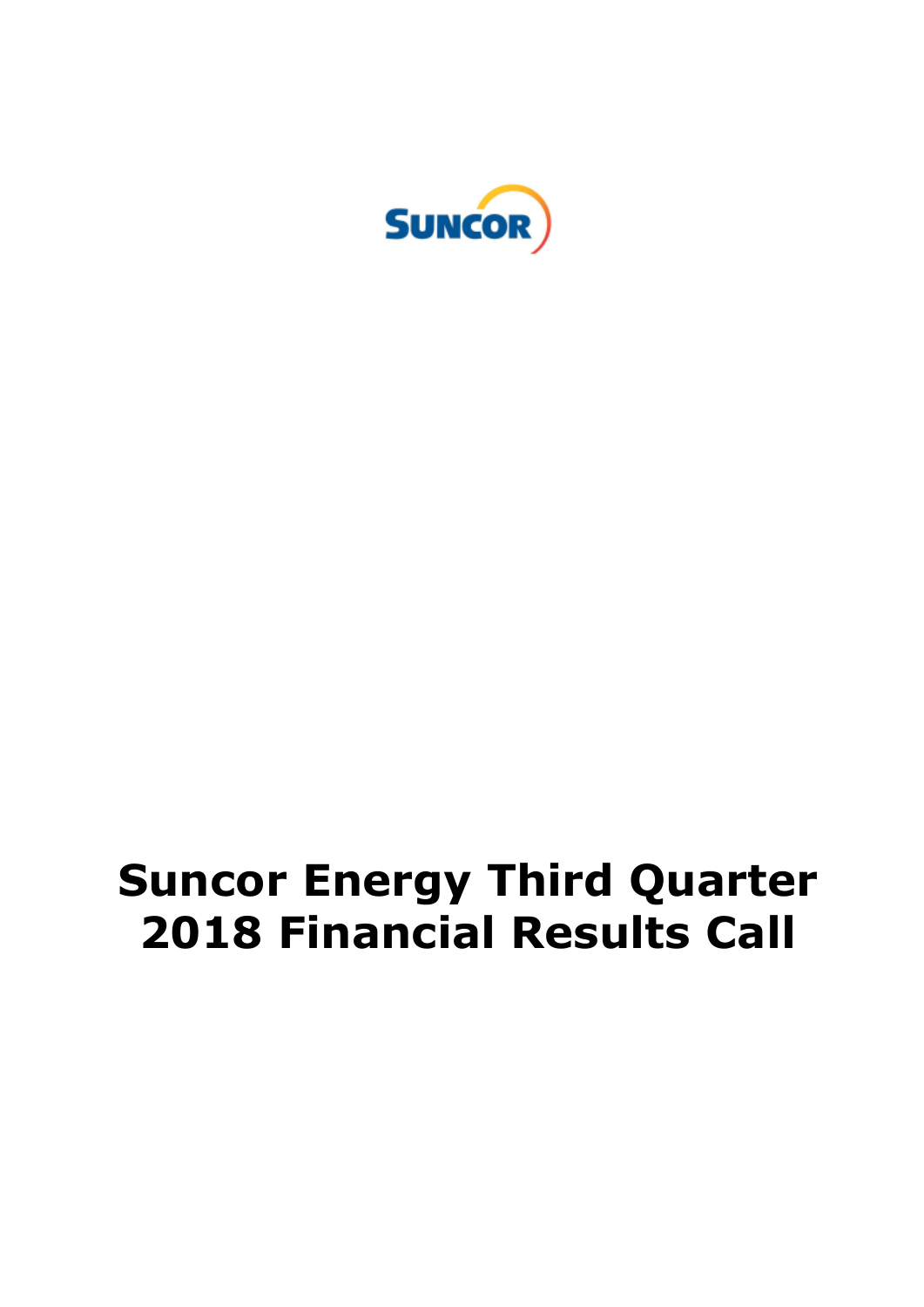

# **Suncor Energy Third Quarter 2018 Financial Results Call**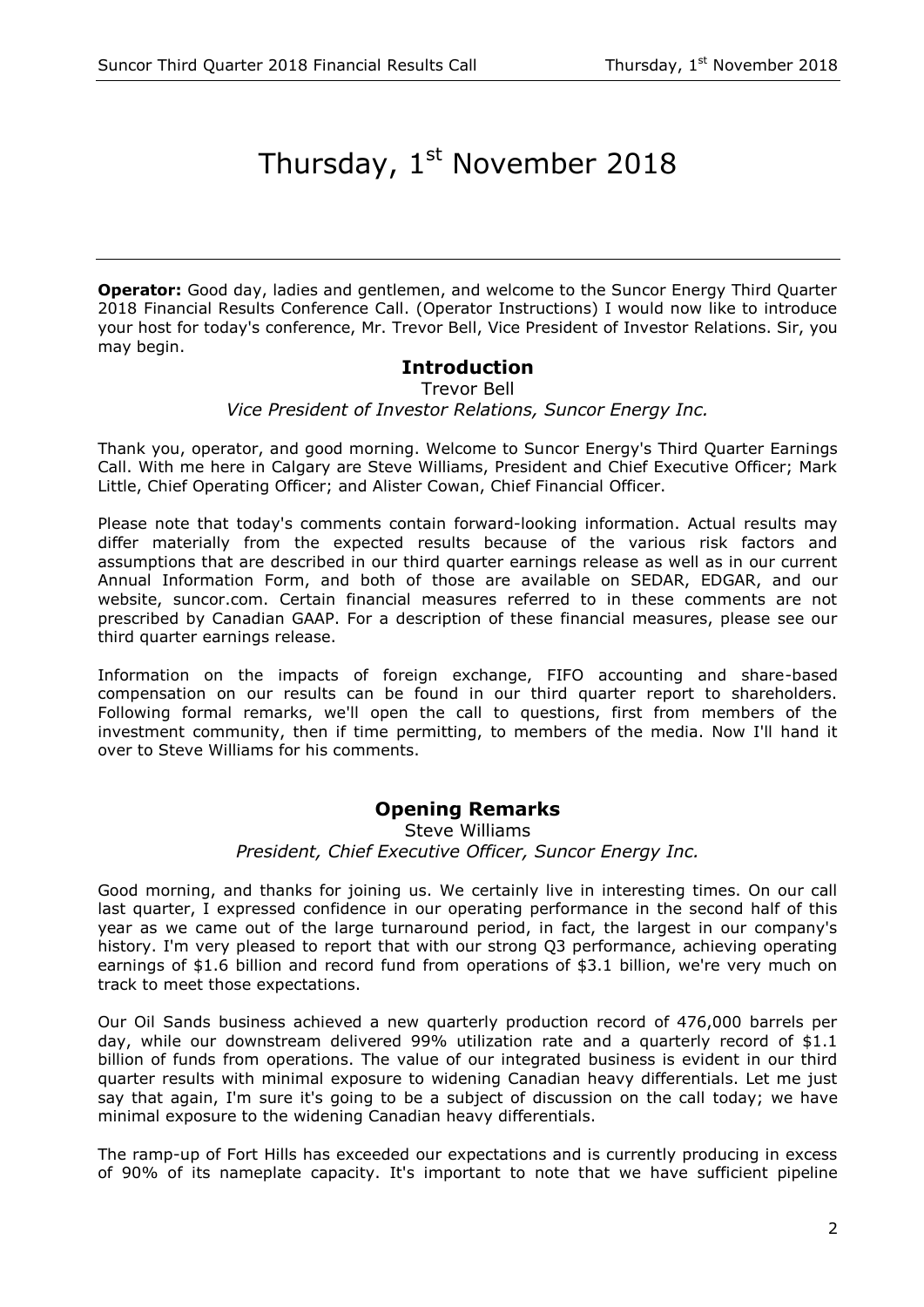## Thursday, 1st November 2018

**Operator:** Good day, ladies and gentlemen, and welcome to the Suncor Energy Third Quarter 2018 Financial Results Conference Call. (Operator Instructions) I would now like to introduce your host for today's conference, Mr. Trevor Bell, Vice President of Investor Relations. Sir, you may begin.

#### **Introduction**

Trevor Bell

*Vice President of Investor Relations, Suncor Energy Inc.*

Thank you, operator, and good morning. Welcome to Suncor Energy's Third Quarter Earnings Call. With me here in Calgary are Steve Williams, President and Chief Executive Officer; Mark Little, Chief Operating Officer; and Alister Cowan, Chief Financial Officer.

Please note that today's comments contain forward-looking information. Actual results may differ materially from the expected results because of the various risk factors and assumptions that are described in our third quarter earnings release as well as in our current Annual Information Form, and both of those are available on SEDAR, EDGAR, and our website, suncor.com. Certain financial measures referred to in these comments are not prescribed by Canadian GAAP. For a description of these financial measures, please see our third quarter earnings release.

Information on the impacts of foreign exchange, FIFO accounting and share-based compensation on our results can be found in our third quarter report to shareholders. Following formal remarks, we'll open the call to questions, first from members of the investment community, then if time permitting, to members of the media. Now I'll hand it over to Steve Williams for his comments.

#### **Opening Remarks**

Steve Williams *President, Chief Executive Officer, Suncor Energy Inc.*

Good morning, and thanks for joining us. We certainly live in interesting times. On our call last quarter, I expressed confidence in our operating performance in the second half of this year as we came out of the large turnaround period, in fact, the largest in our company's history. I'm very pleased to report that with our strong Q3 performance, achieving operating earnings of \$1.6 billion and record fund from operations of \$3.1 billion, we're very much on track to meet those expectations.

Our Oil Sands business achieved a new quarterly production record of 476,000 barrels per day, while our downstream delivered 99% utilization rate and a quarterly record of \$1.1 billion of funds from operations. The value of our integrated business is evident in our third quarter results with minimal exposure to widening Canadian heavy differentials. Let me just say that again, I'm sure it's going to be a subject of discussion on the call today; we have minimal exposure to the widening Canadian heavy differentials.

The ramp-up of Fort Hills has exceeded our expectations and is currently producing in excess of 90% of its nameplate capacity. It's important to note that we have sufficient pipeline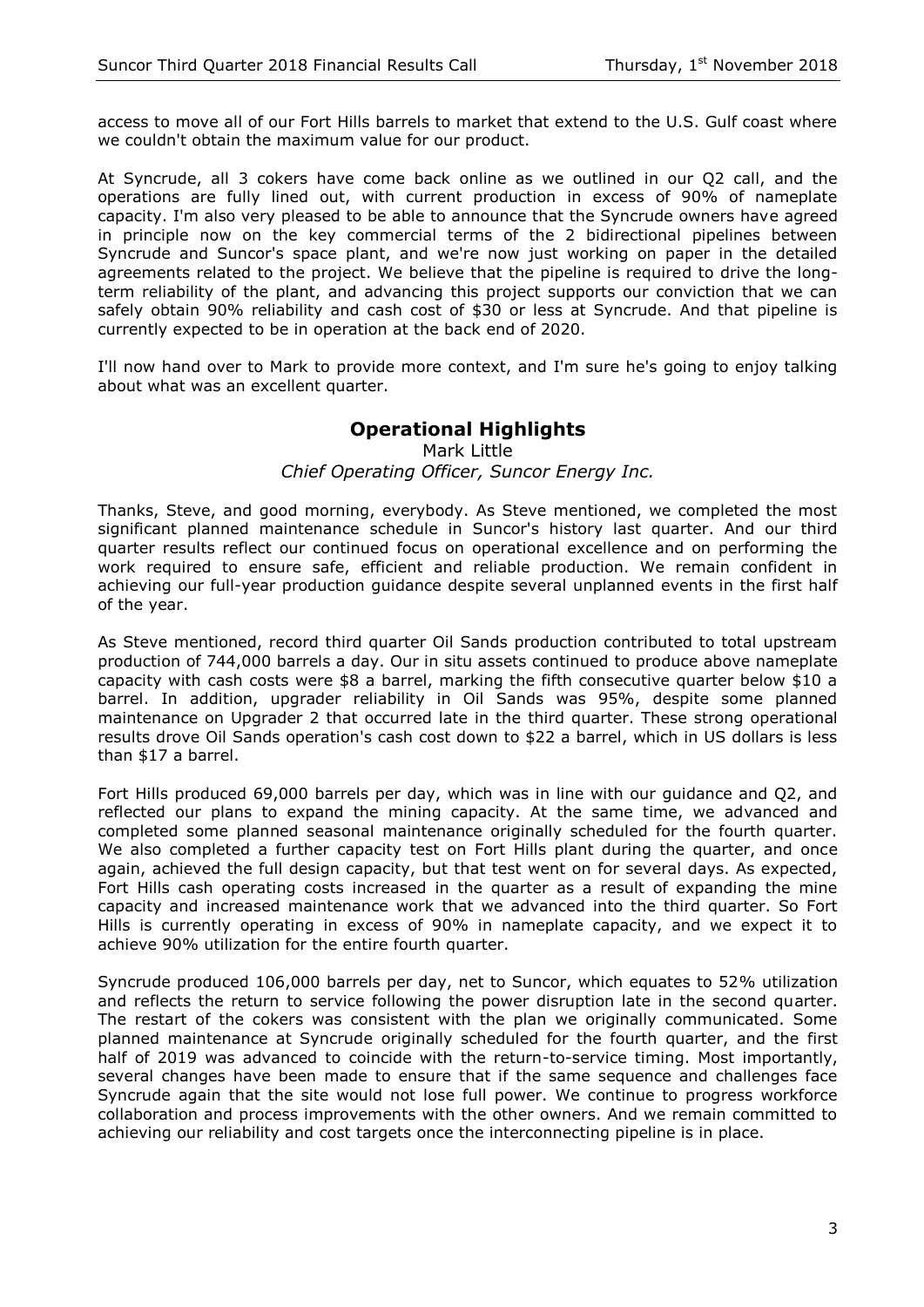access to move all of our Fort Hills barrels to market that extend to the U.S. Gulf coast where we couldn't obtain the maximum value for our product.

At Syncrude, all 3 cokers have come back online as we outlined in our Q2 call, and the operations are fully lined out, with current production in excess of 90% of nameplate capacity. I'm also very pleased to be able to announce that the Syncrude owners have agreed in principle now on the key commercial terms of the 2 bidirectional pipelines between Syncrude and Suncor's space plant, and we're now just working on paper in the detailed agreements related to the project. We believe that the pipeline is required to drive the longterm reliability of the plant, and advancing this project supports our conviction that we can safely obtain 90% reliability and cash cost of \$30 or less at Syncrude. And that pipeline is currently expected to be in operation at the back end of 2020.

I'll now hand over to Mark to provide more context, and I'm sure he's going to enjoy talking about what was an excellent quarter.

#### **Operational Highlights**

#### Mark Little *Chief Operating Officer, Suncor Energy Inc.*

Thanks, Steve, and good morning, everybody. As Steve mentioned, we completed the most significant planned maintenance schedule in Suncor's history last quarter. And our third quarter results reflect our continued focus on operational excellence and on performing the work required to ensure safe, efficient and reliable production. We remain confident in achieving our full-year production guidance despite several unplanned events in the first half of the year.

As Steve mentioned, record third quarter Oil Sands production contributed to total upstream production of 744,000 barrels a day. Our in situ assets continued to produce above nameplate capacity with cash costs were \$8 a barrel, marking the fifth consecutive quarter below \$10 a barrel. In addition, upgrader reliability in Oil Sands was 95%, despite some planned maintenance on Upgrader 2 that occurred late in the third quarter. These strong operational results drove Oil Sands operation's cash cost down to \$22 a barrel, which in US dollars is less than \$17 a barrel.

Fort Hills produced 69,000 barrels per day, which was in line with our guidance and Q2, and reflected our plans to expand the mining capacity. At the same time, we advanced and completed some planned seasonal maintenance originally scheduled for the fourth quarter. We also completed a further capacity test on Fort Hills plant during the quarter, and once again, achieved the full design capacity, but that test went on for several days. As expected, Fort Hills cash operating costs increased in the quarter as a result of expanding the mine capacity and increased maintenance work that we advanced into the third quarter. So Fort Hills is currently operating in excess of 90% in nameplate capacity, and we expect it to achieve 90% utilization for the entire fourth quarter.

Syncrude produced 106,000 barrels per day, net to Suncor, which equates to 52% utilization and reflects the return to service following the power disruption late in the second quarter. The restart of the cokers was consistent with the plan we originally communicated. Some planned maintenance at Syncrude originally scheduled for the fourth quarter, and the first half of 2019 was advanced to coincide with the return-to-service timing. Most importantly, several changes have been made to ensure that if the same sequence and challenges face Syncrude again that the site would not lose full power. We continue to progress workforce collaboration and process improvements with the other owners. And we remain committed to achieving our reliability and cost targets once the interconnecting pipeline is in place.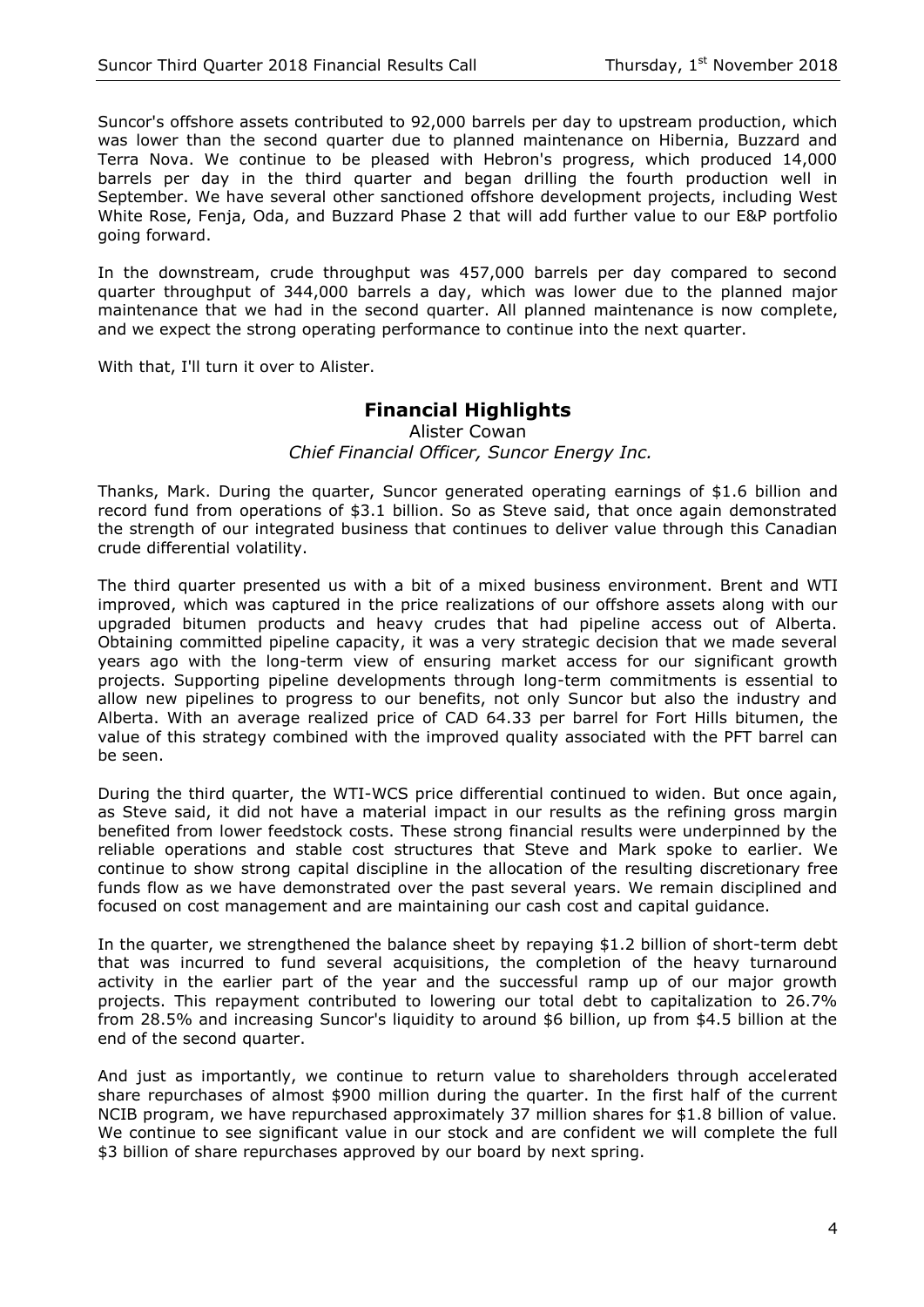Suncor's offshore assets contributed to 92,000 barrels per day to upstream production, which was lower than the second quarter due to planned maintenance on Hibernia, Buzzard and Terra Nova. We continue to be pleased with Hebron's progress, which produced 14,000 barrels per day in the third quarter and began drilling the fourth production well in September. We have several other sanctioned offshore development projects, including West White Rose, Fenja, Oda, and Buzzard Phase 2 that will add further value to our E&P portfolio going forward.

In the downstream, crude throughput was 457,000 barrels per day compared to second quarter throughput of 344,000 barrels a day, which was lower due to the planned major maintenance that we had in the second quarter. All planned maintenance is now complete, and we expect the strong operating performance to continue into the next quarter.

With that, I'll turn it over to Alister.

#### **Financial Highlights**

Alister Cowan *Chief Financial Officer, Suncor Energy Inc.*

Thanks, Mark. During the quarter, Suncor generated operating earnings of \$1.6 billion and record fund from operations of \$3.1 billion. So as Steve said, that once again demonstrated the strength of our integrated business that continues to deliver value through this Canadian crude differential volatility.

The third quarter presented us with a bit of a mixed business environment. Brent and WTI improved, which was captured in the price realizations of our offshore assets along with our upgraded bitumen products and heavy crudes that had pipeline access out of Alberta. Obtaining committed pipeline capacity, it was a very strategic decision that we made several years ago with the long-term view of ensuring market access for our significant growth projects. Supporting pipeline developments through long-term commitments is essential to allow new pipelines to progress to our benefits, not only Suncor but also the industry and Alberta. With an average realized price of CAD 64.33 per barrel for Fort Hills bitumen, the value of this strategy combined with the improved quality associated with the PFT barrel can be seen.

During the third quarter, the WTI-WCS price differential continued to widen. But once again, as Steve said, it did not have a material impact in our results as the refining gross margin benefited from lower feedstock costs. These strong financial results were underpinned by the reliable operations and stable cost structures that Steve and Mark spoke to earlier. We continue to show strong capital discipline in the allocation of the resulting discretionary free funds flow as we have demonstrated over the past several years. We remain disciplined and focused on cost management and are maintaining our cash cost and capital guidance.

In the quarter, we strengthened the balance sheet by repaying \$1.2 billion of short-term debt that was incurred to fund several acquisitions, the completion of the heavy turnaround activity in the earlier part of the year and the successful ramp up of our major growth projects. This repayment contributed to lowering our total debt to capitalization to 26.7% from 28.5% and increasing Suncor's liquidity to around \$6 billion, up from \$4.5 billion at the end of the second quarter.

And just as importantly, we continue to return value to shareholders through accelerated share repurchases of almost \$900 million during the quarter. In the first half of the current NCIB program, we have repurchased approximately 37 million shares for \$1.8 billion of value. We continue to see significant value in our stock and are confident we will complete the full \$3 billion of share repurchases approved by our board by next spring.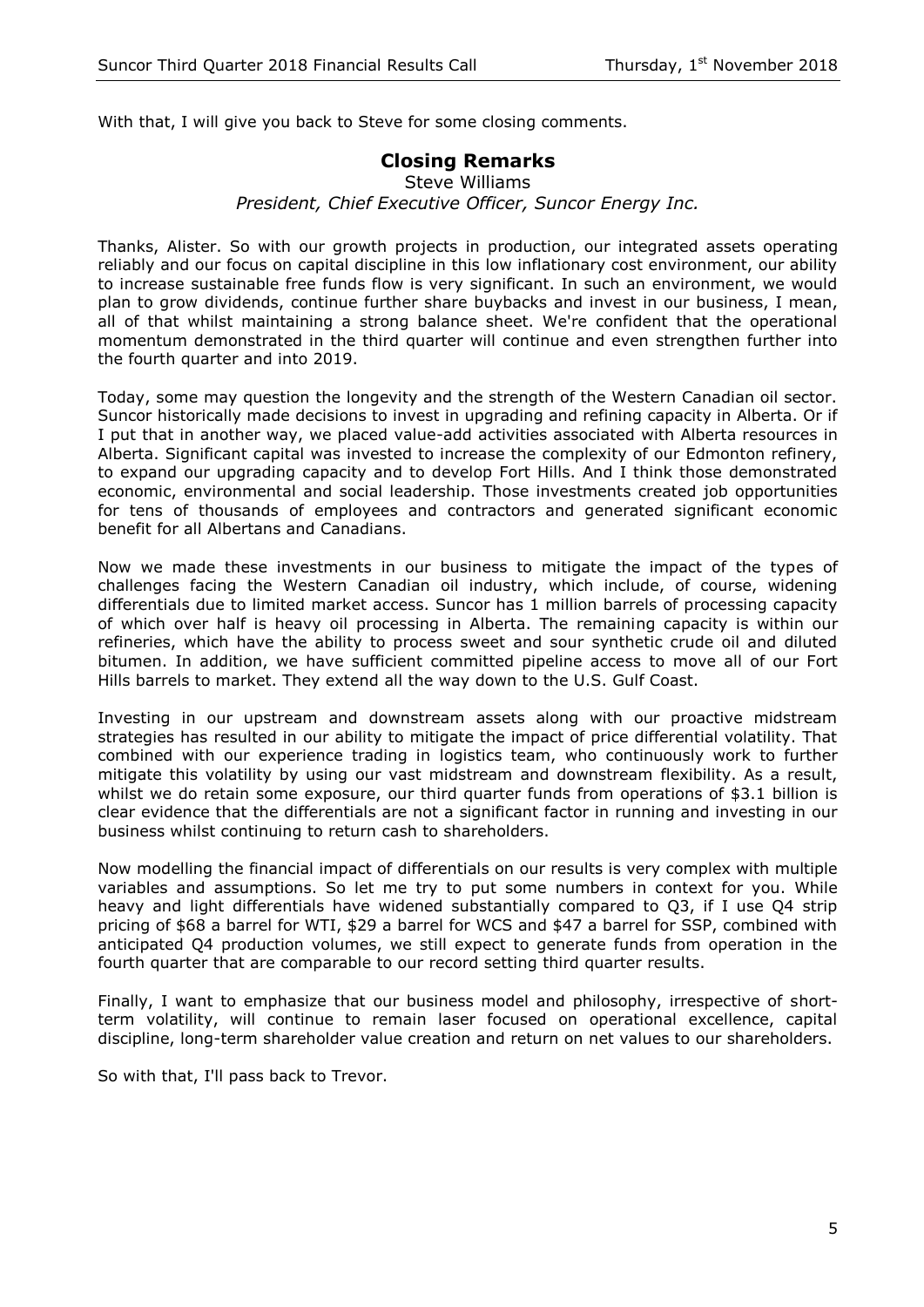With that, I will give you back to Steve for some closing comments.

#### **Closing Remarks**

Steve Williams *President, Chief Executive Officer, Suncor Energy Inc.*

Thanks, Alister. So with our growth projects in production, our integrated assets operating reliably and our focus on capital discipline in this low inflationary cost environment, our ability to increase sustainable free funds flow is very significant. In such an environment, we would plan to grow dividends, continue further share buybacks and invest in our business, I mean, all of that whilst maintaining a strong balance sheet. We're confident that the operational momentum demonstrated in the third quarter will continue and even strengthen further into the fourth quarter and into 2019.

Today, some may question the longevity and the strength of the Western Canadian oil sector. Suncor historically made decisions to invest in upgrading and refining capacity in Alberta. Or if I put that in another way, we placed value-add activities associated with Alberta resources in Alberta. Significant capital was invested to increase the complexity of our Edmonton refinery, to expand our upgrading capacity and to develop Fort Hills. And I think those demonstrated economic, environmental and social leadership. Those investments created job opportunities for tens of thousands of employees and contractors and generated significant economic benefit for all Albertans and Canadians.

Now we made these investments in our business to mitigate the impact of the types of challenges facing the Western Canadian oil industry, which include, of course, widening differentials due to limited market access. Suncor has 1 million barrels of processing capacity of which over half is heavy oil processing in Alberta. The remaining capacity is within our refineries, which have the ability to process sweet and sour synthetic crude oil and diluted bitumen. In addition, we have sufficient committed pipeline access to move all of our Fort Hills barrels to market. They extend all the way down to the U.S. Gulf Coast.

Investing in our upstream and downstream assets along with our proactive midstream strategies has resulted in our ability to mitigate the impact of price differential volatility. That combined with our experience trading in logistics team, who continuously work to further mitigate this volatility by using our vast midstream and downstream flexibility. As a result, whilst we do retain some exposure, our third quarter funds from operations of \$3.1 billion is clear evidence that the differentials are not a significant factor in running and investing in our business whilst continuing to return cash to shareholders.

Now modelling the financial impact of differentials on our results is very complex with multiple variables and assumptions. So let me try to put some numbers in context for you. While heavy and light differentials have widened substantially compared to Q3, if I use Q4 strip pricing of \$68 a barrel for WTI, \$29 a barrel for WCS and \$47 a barrel for SSP, combined with anticipated Q4 production volumes, we still expect to generate funds from operation in the fourth quarter that are comparable to our record setting third quarter results.

Finally, I want to emphasize that our business model and philosophy, irrespective of shortterm volatility, will continue to remain laser focused on operational excellence, capital discipline, long-term shareholder value creation and return on net values to our shareholders.

So with that, I'll pass back to Trevor.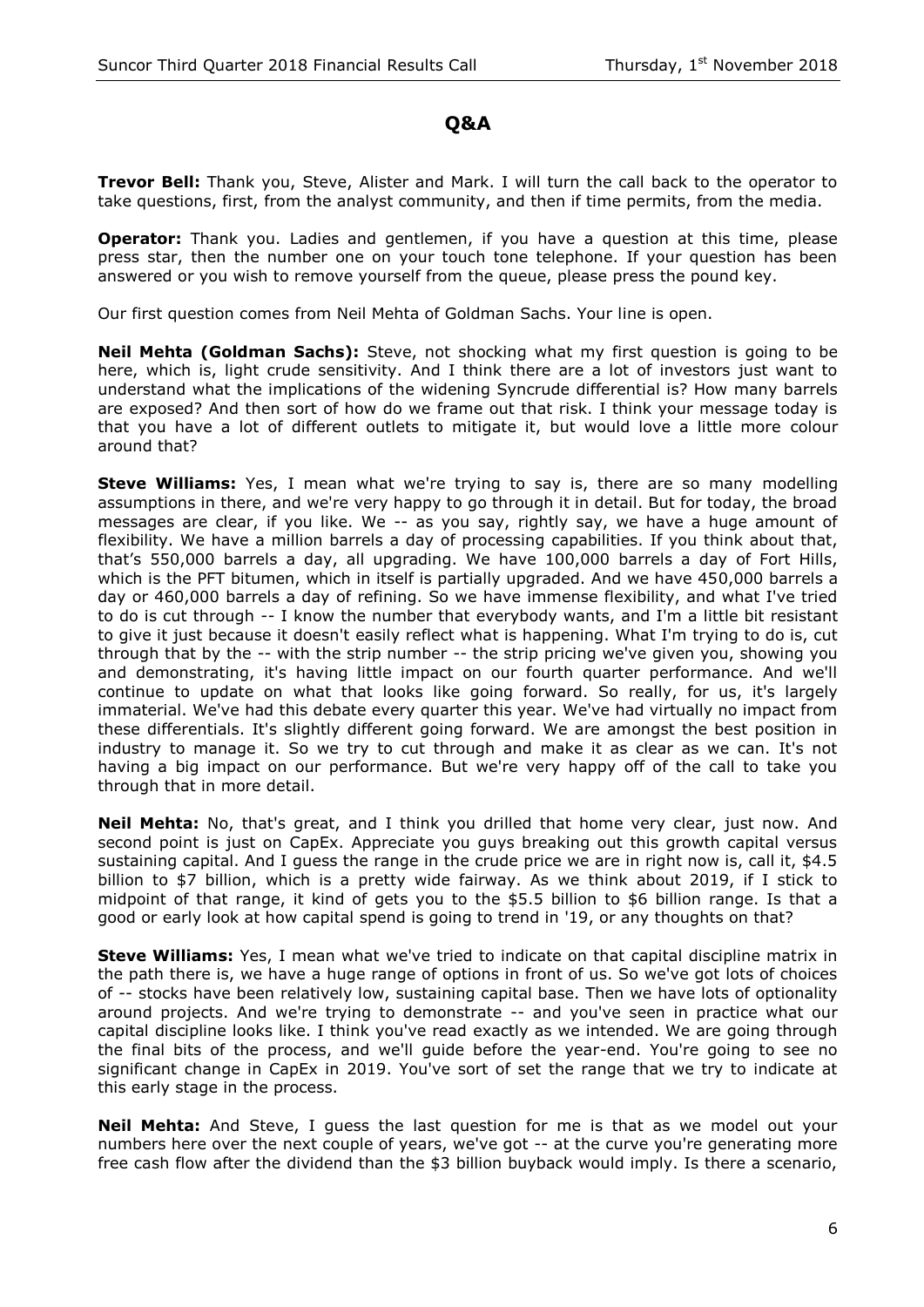### **Q&A**

**Trevor Bell:** Thank you, Steve, Alister and Mark. I will turn the call back to the operator to take questions, first, from the analyst community, and then if time permits, from the media.

**Operator:** Thank you. Ladies and gentlemen, if you have a question at this time, please press star, then the number one on your touch tone telephone. If your question has been answered or you wish to remove yourself from the queue, please press the pound key.

Our first question comes from Neil Mehta of Goldman Sachs. Your line is open.

**Neil Mehta (Goldman Sachs):** Steve, not shocking what my first question is going to be here, which is, light crude sensitivity. And I think there are a lot of investors just want to understand what the implications of the widening Syncrude differential is? How many barrels are exposed? And then sort of how do we frame out that risk. I think your message today is that you have a lot of different outlets to mitigate it, but would love a little more colour around that?

**Steve Williams:** Yes, I mean what we're trying to say is, there are so many modelling assumptions in there, and we're very happy to go through it in detail. But for today, the broad messages are clear, if you like. We -- as you say, rightly say, we have a huge amount of flexibility. We have a million barrels a day of processing capabilities. If you think about that, that's 550,000 barrels a day, all upgrading. We have 100,000 barrels a day of Fort Hills, which is the PFT bitumen, which in itself is partially upgraded. And we have 450,000 barrels a day or 460,000 barrels a day of refining. So we have immense flexibility, and what I've tried to do is cut through -- I know the number that everybody wants, and I'm a little bit resistant to give it just because it doesn't easily reflect what is happening. What I'm trying to do is, cut through that by the -- with the strip number -- the strip pricing we've given you, showing you and demonstrating, it's having little impact on our fourth quarter performance. And we'll continue to update on what that looks like going forward. So really, for us, it's largely immaterial. We've had this debate every quarter this year. We've had virtually no impact from these differentials. It's slightly different going forward. We are amongst the best position in industry to manage it. So we try to cut through and make it as clear as we can. It's not having a big impact on our performance. But we're very happy off of the call to take you through that in more detail.

**Neil Mehta:** No, that's great, and I think you drilled that home very clear, just now. And second point is just on CapEx. Appreciate you guys breaking out this growth capital versus sustaining capital. And I guess the range in the crude price we are in right now is, call it, \$4.5 billion to \$7 billion, which is a pretty wide fairway. As we think about 2019, if I stick to midpoint of that range, it kind of gets you to the \$5.5 billion to \$6 billion range. Is that a good or early look at how capital spend is going to trend in '19, or any thoughts on that?

**Steve Williams:** Yes, I mean what we've tried to indicate on that capital discipline matrix in the path there is, we have a huge range of options in front of us. So we've got lots of choices of -- stocks have been relatively low, sustaining capital base. Then we have lots of optionality around projects. And we're trying to demonstrate -- and you've seen in practice what our capital discipline looks like. I think you've read exactly as we intended. We are going through the final bits of the process, and we'll guide before the year-end. You're going to see no significant change in CapEx in 2019. You've sort of set the range that we try to indicate at this early stage in the process.

**Neil Mehta:** And Steve, I guess the last question for me is that as we model out your numbers here over the next couple of years, we've got -- at the curve you're generating more free cash flow after the dividend than the \$3 billion buyback would imply. Is there a scenario,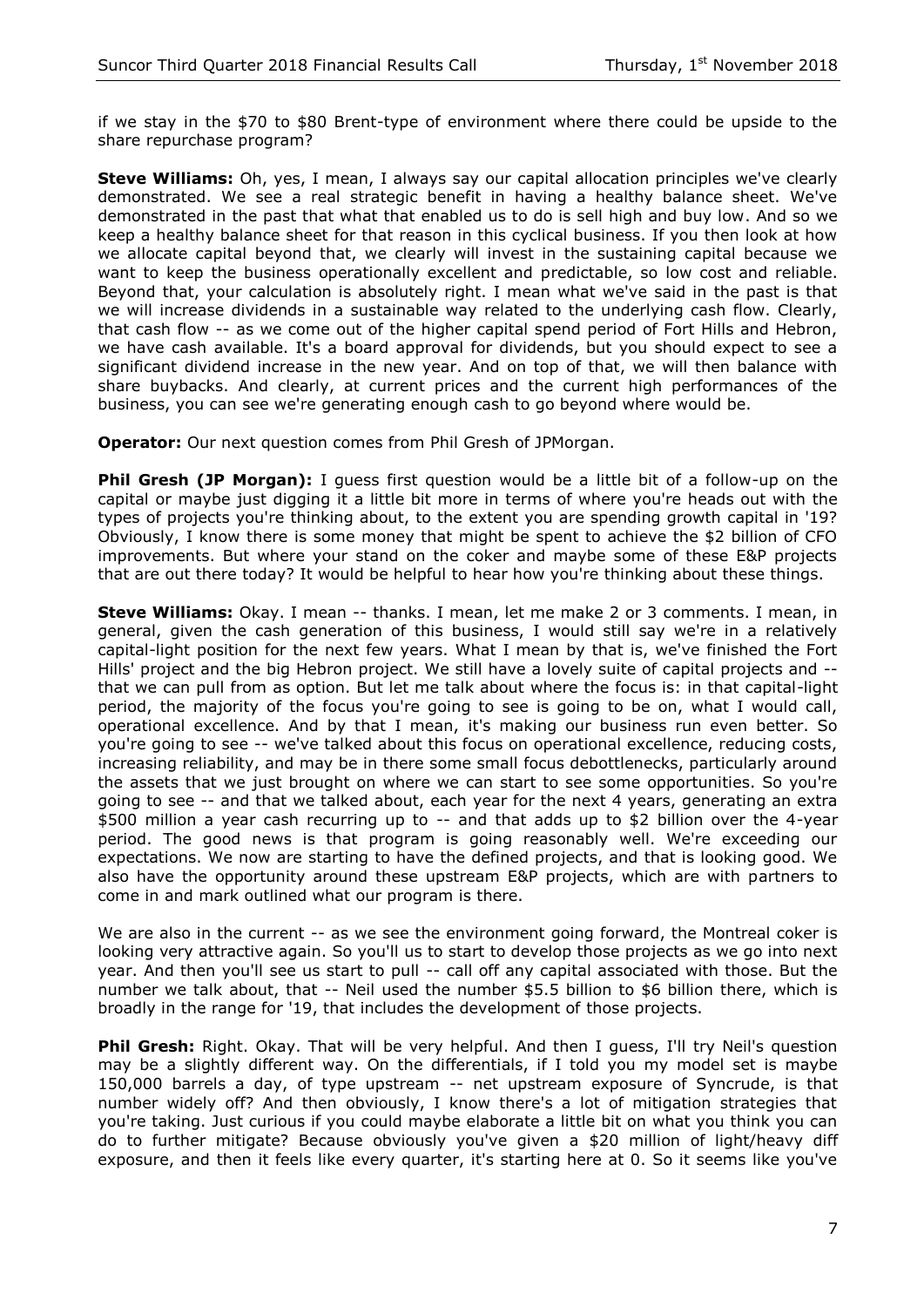if we stay in the \$70 to \$80 Brent-type of environment where there could be upside to the share repurchase program?

**Steve Williams:** Oh, yes, I mean, I always say our capital allocation principles we've clearly demonstrated. We see a real strategic benefit in having a healthy balance sheet. We've demonstrated in the past that what that enabled us to do is sell high and buy low. And so we keep a healthy balance sheet for that reason in this cyclical business. If you then look at how we allocate capital beyond that, we clearly will invest in the sustaining capital because we want to keep the business operationally excellent and predictable, so low cost and reliable. Beyond that, your calculation is absolutely right. I mean what we've said in the past is that we will increase dividends in a sustainable way related to the underlying cash flow. Clearly, that cash flow -- as we come out of the higher capital spend period of Fort Hills and Hebron, we have cash available. It's a board approval for dividends, but you should expect to see a significant dividend increase in the new year. And on top of that, we will then balance with share buybacks. And clearly, at current prices and the current high performances of the business, you can see we're generating enough cash to go beyond where would be.

**Operator:** Our next question comes from Phil Gresh of JPMorgan.

**Phil Gresh (JP Morgan):** I quess first question would be a little bit of a follow-up on the capital or maybe just digging it a little bit more in terms of where you're heads out with the types of projects you're thinking about, to the extent you are spending growth capital in '19? Obviously, I know there is some money that might be spent to achieve the \$2 billion of CFO improvements. But where your stand on the coker and maybe some of these E&P projects that are out there today? It would be helpful to hear how you're thinking about these things.

**Steve Williams:** Okay. I mean -- thanks. I mean, let me make 2 or 3 comments. I mean, in general, given the cash generation of this business, I would still say we're in a relatively capital-light position for the next few years. What I mean by that is, we've finished the Fort Hills' project and the big Hebron project. We still have a lovely suite of capital projects and - that we can pull from as option. But let me talk about where the focus is: in that capital-light period, the majority of the focus you're going to see is going to be on, what I would call, operational excellence. And by that I mean, it's making our business run even better. So you're going to see -- we've talked about this focus on operational excellence, reducing costs, increasing reliability, and may be in there some small focus debottlenecks, particularly around the assets that we just brought on where we can start to see some opportunities. So you're going to see -- and that we talked about, each year for the next 4 years, generating an extra \$500 million a year cash recurring up to -- and that adds up to \$2 billion over the 4-year period. The good news is that program is going reasonably well. We're exceeding our expectations. We now are starting to have the defined projects, and that is looking good. We also have the opportunity around these upstream E&P projects, which are with partners to come in and mark outlined what our program is there.

We are also in the current -- as we see the environment going forward, the Montreal coker is looking very attractive again. So you'll us to start to develop those projects as we go into next year. And then you'll see us start to pull -- call off any capital associated with those. But the number we talk about, that -- Neil used the number \$5.5 billion to \$6 billion there, which is broadly in the range for '19, that includes the development of those projects.

**Phil Gresh:** Right. Okay. That will be very helpful. And then I guess, I'll try Neil's question may be a slightly different way. On the differentials, if I told you my model set is maybe 150,000 barrels a day, of type upstream -- net upstream exposure of Syncrude, is that number widely off? And then obviously, I know there's a lot of mitigation strategies that you're taking. Just curious if you could maybe elaborate a little bit on what you think you can do to further mitigate? Because obviously you've given a \$20 million of light/heavy diff exposure, and then it feels like every quarter, it's starting here at 0. So it seems like you've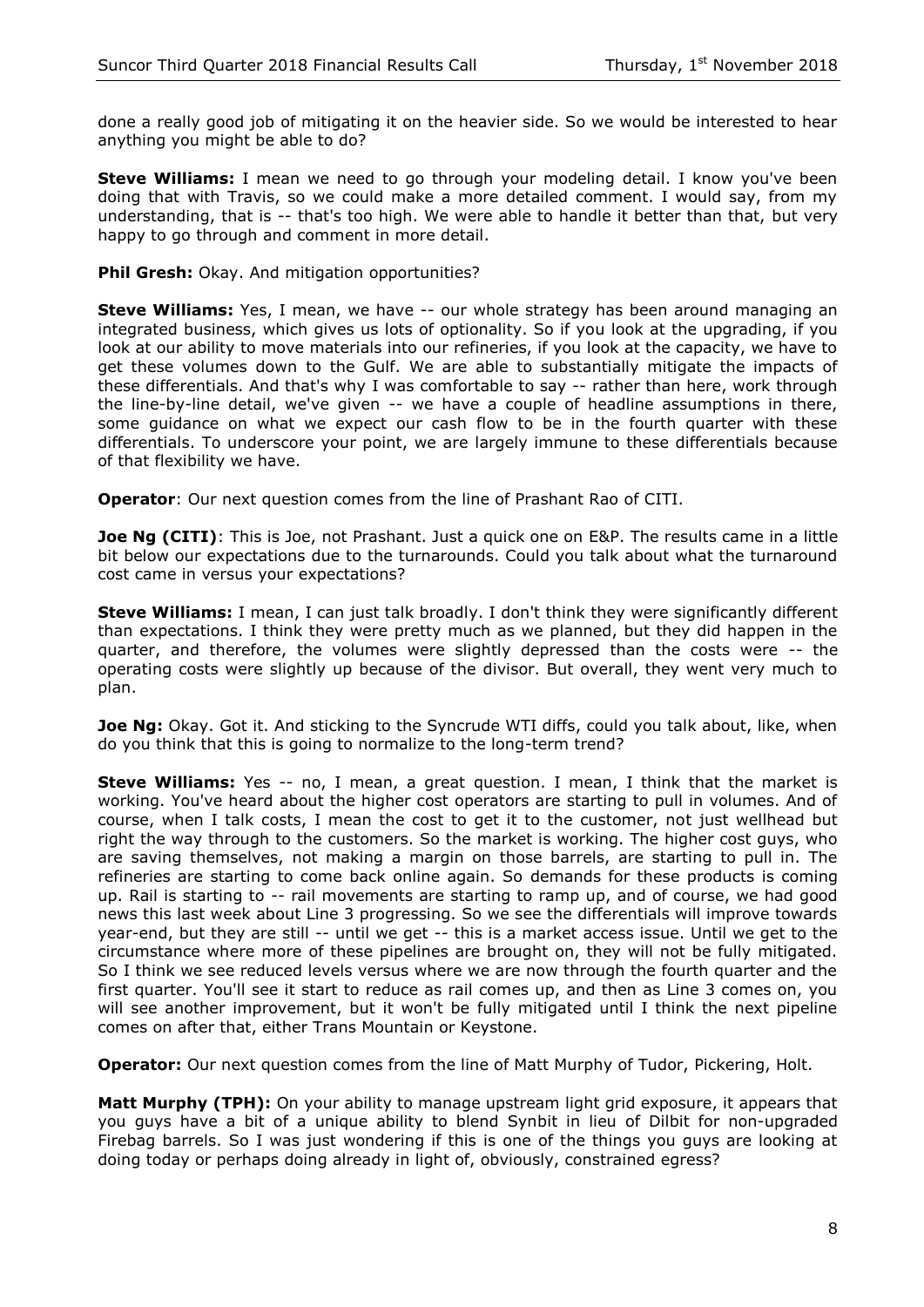done a really good job of mitigating it on the heavier side. So we would be interested to hear anything you might be able to do?

**Steve Williams:** I mean we need to go through your modeling detail. I know you've been doing that with Travis, so we could make a more detailed comment. I would say, from my understanding, that is -- that's too high. We were able to handle it better than that, but very happy to go through and comment in more detail.

**Phil Gresh:** Okay. And mitigation opportunities?

**Steve Williams:** Yes, I mean, we have -- our whole strategy has been around managing an integrated business, which gives us lots of optionality. So if you look at the upgrading, if you look at our ability to move materials into our refineries, if you look at the capacity, we have to get these volumes down to the Gulf. We are able to substantially mitigate the impacts of these differentials. And that's why I was comfortable to say -- rather than here, work through the line-by-line detail, we've given -- we have a couple of headline assumptions in there, some guidance on what we expect our cash flow to be in the fourth quarter with these differentials. To underscore your point, we are largely immune to these differentials because of that flexibility we have.

**Operator**: Our next question comes from the line of Prashant Rao of CITI.

**Joe Ng (CITI)**: This is Joe, not Prashant. Just a quick one on E&P. The results came in a little bit below our expectations due to the turnarounds. Could you talk about what the turnaround cost came in versus your expectations?

**Steve Williams:** I mean, I can just talk broadly. I don't think they were significantly different than expectations. I think they were pretty much as we planned, but they did happen in the quarter, and therefore, the volumes were slightly depressed than the costs were -- the operating costs were slightly up because of the divisor. But overall, they went very much to plan.

**Joe Ng:** Okay. Got it. And sticking to the Syncrude WTI diffs, could you talk about, like, when do you think that this is going to normalize to the long-term trend?

**Steve Williams:** Yes -- no, I mean, a great question. I mean, I think that the market is working. You've heard about the higher cost operators are starting to pull in volumes. And of course, when I talk costs, I mean the cost to get it to the customer, not just wellhead but right the way through to the customers. So the market is working. The higher cost guys, who are saving themselves, not making a margin on those barrels, are starting to pull in. The refineries are starting to come back online again. So demands for these products is coming up. Rail is starting to -- rail movements are starting to ramp up, and of course, we had good news this last week about Line 3 progressing. So we see the differentials will improve towards year-end, but they are still -- until we get -- this is a market access issue. Until we get to the circumstance where more of these pipelines are brought on, they will not be fully mitigated. So I think we see reduced levels versus where we are now through the fourth quarter and the first quarter. You'll see it start to reduce as rail comes up, and then as Line 3 comes on, you will see another improvement, but it won't be fully mitigated until I think the next pipeline comes on after that, either Trans Mountain or Keystone.

**Operator:** Our next question comes from the line of Matt Murphy of Tudor, Pickering, Holt.

**Matt Murphy (TPH):** On your ability to manage upstream light grid exposure, it appears that you guys have a bit of a unique ability to blend Synbit in lieu of Dilbit for non-upgraded Firebag barrels. So I was just wondering if this is one of the things you guys are looking at doing today or perhaps doing already in light of, obviously, constrained egress?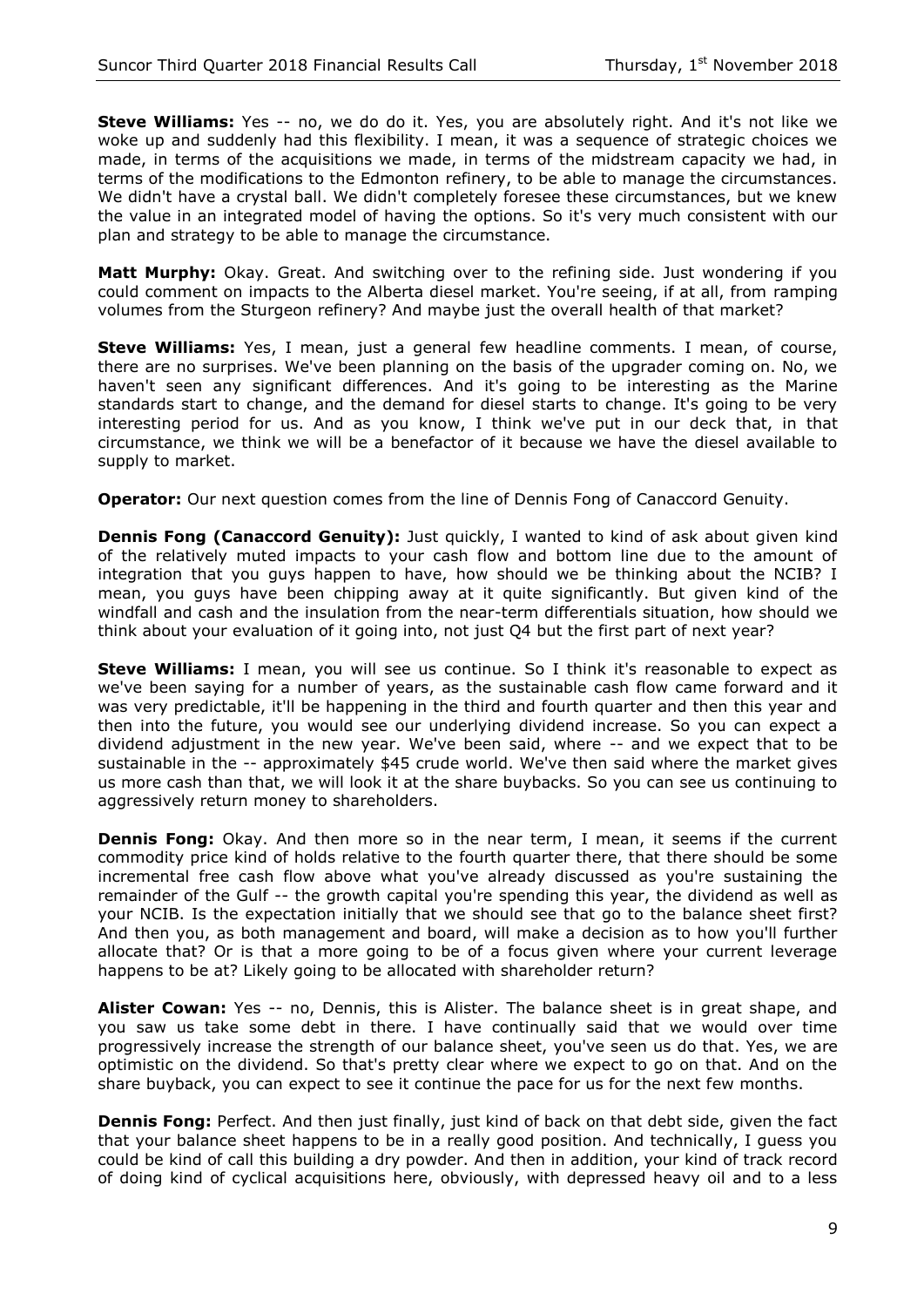**Steve Williams:** Yes -- no, we do do it. Yes, you are absolutely right. And it's not like we woke up and suddenly had this flexibility. I mean, it was a sequence of strategic choices we made, in terms of the acquisitions we made, in terms of the midstream capacity we had, in terms of the modifications to the Edmonton refinery, to be able to manage the circumstances. We didn't have a crystal ball. We didn't completely foresee these circumstances, but we knew the value in an integrated model of having the options. So it's very much consistent with our plan and strategy to be able to manage the circumstance.

**Matt Murphy:** Okay. Great. And switching over to the refining side. Just wondering if you could comment on impacts to the Alberta diesel market. You're seeing, if at all, from ramping volumes from the Sturgeon refinery? And maybe just the overall health of that market?

**Steve Williams:** Yes, I mean, just a general few headline comments. I mean, of course, there are no surprises. We've been planning on the basis of the upgrader coming on. No, we haven't seen any significant differences. And it's going to be interesting as the Marine standards start to change, and the demand for diesel starts to change. It's going to be very interesting period for us. And as you know, I think we've put in our deck that, in that circumstance, we think we will be a benefactor of it because we have the diesel available to supply to market.

**Operator:** Our next question comes from the line of Dennis Fong of Canaccord Genuity.

**Dennis Fong (Canaccord Genuity):** Just quickly, I wanted to kind of ask about given kind of the relatively muted impacts to your cash flow and bottom line due to the amount of integration that you guys happen to have, how should we be thinking about the NCIB? I mean, you guys have been chipping away at it quite significantly. But given kind of the windfall and cash and the insulation from the near-term differentials situation, how should we think about your evaluation of it going into, not just Q4 but the first part of next year?

**Steve Williams:** I mean, you will see us continue. So I think it's reasonable to expect as we've been saying for a number of years, as the sustainable cash flow came forward and it was very predictable, it'll be happening in the third and fourth quarter and then this year and then into the future, you would see our underlying dividend increase. So you can expect a dividend adjustment in the new year. We've been said, where -- and we expect that to be sustainable in the -- approximately \$45 crude world. We've then said where the market gives us more cash than that, we will look it at the share buybacks. So you can see us continuing to aggressively return money to shareholders.

**Dennis Fong:** Okay. And then more so in the near term, I mean, it seems if the current commodity price kind of holds relative to the fourth quarter there, that there should be some incremental free cash flow above what you've already discussed as you're sustaining the remainder of the Gulf -- the growth capital you're spending this year, the dividend as well as your NCIB. Is the expectation initially that we should see that go to the balance sheet first? And then you, as both management and board, will make a decision as to how you'll further allocate that? Or is that a more going to be of a focus given where your current leverage happens to be at? Likely going to be allocated with shareholder return?

**Alister Cowan:** Yes -- no, Dennis, this is Alister. The balance sheet is in great shape, and you saw us take some debt in there. I have continually said that we would over time progressively increase the strength of our balance sheet, you've seen us do that. Yes, we are optimistic on the dividend. So that's pretty clear where we expect to go on that. And on the share buyback, you can expect to see it continue the pace for us for the next few months.

**Dennis Fong:** Perfect. And then just finally, just kind of back on that debt side, given the fact that your balance sheet happens to be in a really good position. And technically, I guess you could be kind of call this building a dry powder. And then in addition, your kind of track record of doing kind of cyclical acquisitions here, obviously, with depressed heavy oil and to a less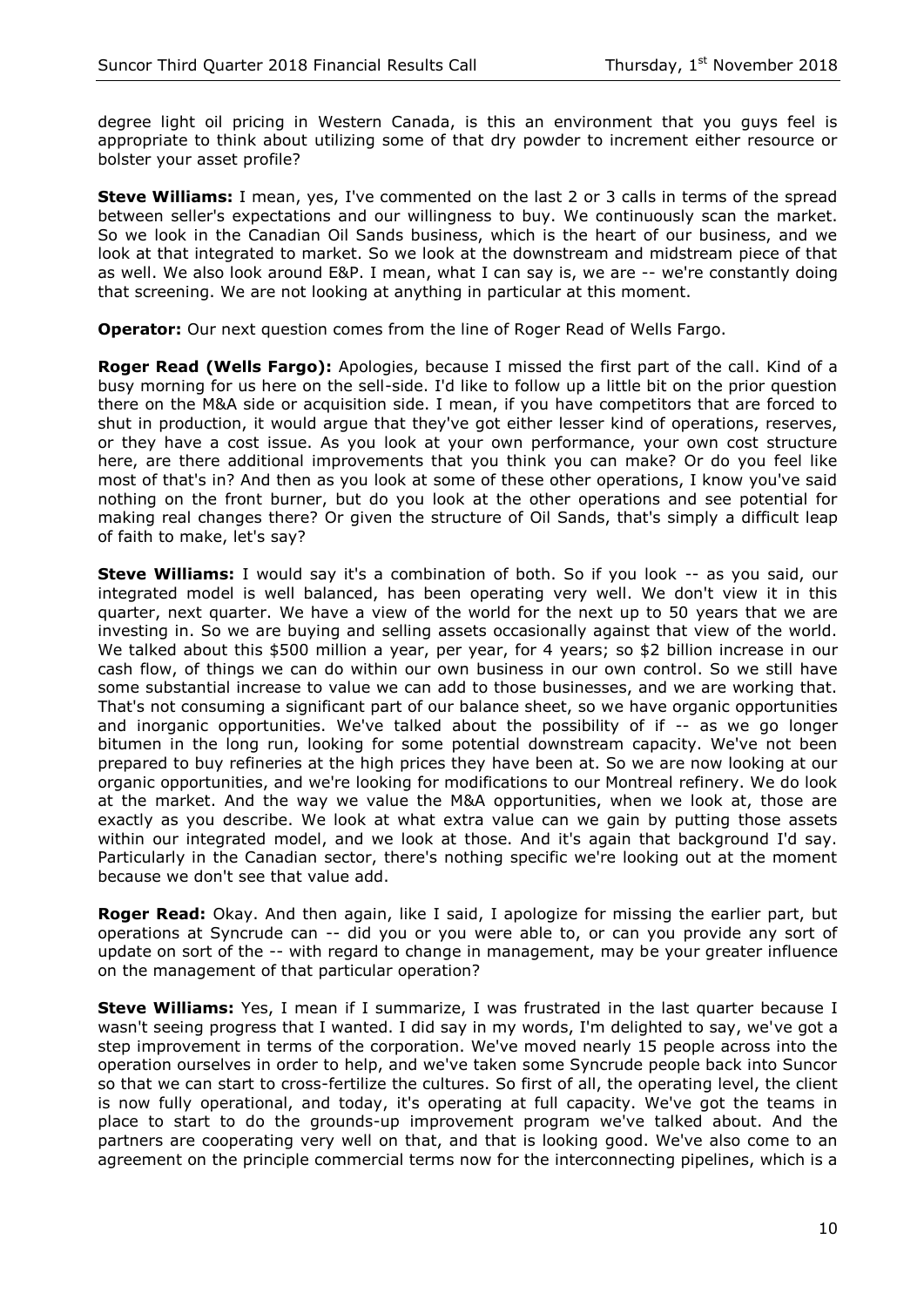degree light oil pricing in Western Canada, is this an environment that you guys feel is appropriate to think about utilizing some of that dry powder to increment either resource or bolster your asset profile?

**Steve Williams:** I mean, yes, I've commented on the last 2 or 3 calls in terms of the spread between seller's expectations and our willingness to buy. We continuously scan the market. So we look in the Canadian Oil Sands business, which is the heart of our business, and we look at that integrated to market. So we look at the downstream and midstream piece of that as well. We also look around E&P. I mean, what I can say is, we are -- we're constantly doing that screening. We are not looking at anything in particular at this moment.

**Operator:** Our next question comes from the line of Roger Read of Wells Fargo.

**Roger Read (Wells Fargo):** Apologies, because I missed the first part of the call. Kind of a busy morning for us here on the sell-side. I'd like to follow up a little bit on the prior question there on the M&A side or acquisition side. I mean, if you have competitors that are forced to shut in production, it would argue that they've got either lesser kind of operations, reserves, or they have a cost issue. As you look at your own performance, your own cost structure here, are there additional improvements that you think you can make? Or do you feel like most of that's in? And then as you look at some of these other operations, I know you've said nothing on the front burner, but do you look at the other operations and see potential for making real changes there? Or given the structure of Oil Sands, that's simply a difficult leap of faith to make, let's say?

**Steve Williams:** I would say it's a combination of both. So if you look -- as you said, our integrated model is well balanced, has been operating very well. We don't view it in this quarter, next quarter. We have a view of the world for the next up to 50 years that we are investing in. So we are buying and selling assets occasionally against that view of the world. We talked about this \$500 million a year, per year, for 4 years; so \$2 billion increase in our cash flow, of things we can do within our own business in our own control. So we still have some substantial increase to value we can add to those businesses, and we are working that. That's not consuming a significant part of our balance sheet, so we have organic opportunities and inorganic opportunities. We've talked about the possibility of if -- as we go longer bitumen in the long run, looking for some potential downstream capacity. We've not been prepared to buy refineries at the high prices they have been at. So we are now looking at our organic opportunities, and we're looking for modifications to our Montreal refinery. We do look at the market. And the way we value the M&A opportunities, when we look at, those are exactly as you describe. We look at what extra value can we gain by putting those assets within our integrated model, and we look at those. And it's again that background I'd say. Particularly in the Canadian sector, there's nothing specific we're looking out at the moment because we don't see that value add.

**Roger Read:** Okay. And then again, like I said, I apologize for missing the earlier part, but operations at Syncrude can -- did you or you were able to, or can you provide any sort of update on sort of the -- with regard to change in management, may be your greater influence on the management of that particular operation?

**Steve Williams:** Yes, I mean if I summarize, I was frustrated in the last quarter because I wasn't seeing progress that I wanted. I did say in my words, I'm delighted to say, we've got a step improvement in terms of the corporation. We've moved nearly 15 people across into the operation ourselves in order to help, and we've taken some Syncrude people back into Suncor so that we can start to cross-fertilize the cultures. So first of all, the operating level, the client is now fully operational, and today, it's operating at full capacity. We've got the teams in place to start to do the grounds-up improvement program we've talked about. And the partners are cooperating very well on that, and that is looking good. We've also come to an agreement on the principle commercial terms now for the interconnecting pipelines, which is a